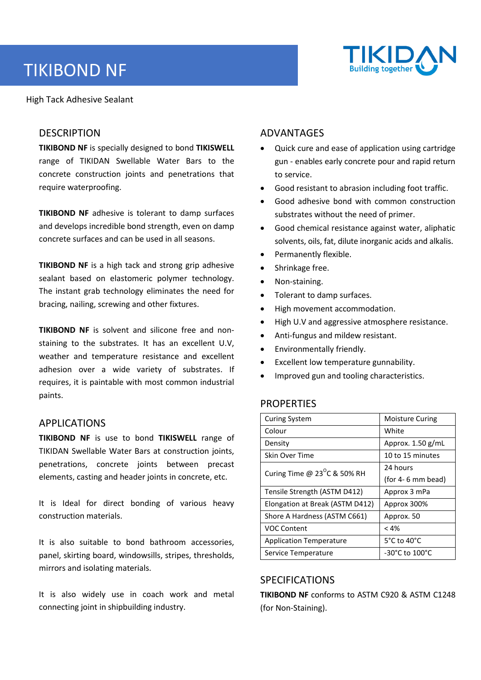# TIKIBOND NF

High Tack Adhesive Sealant

# **DESCRIPTION**

**TIKIBOND NF** is specially designed to bond **TIKISWELL** range of TIKIDAN Swellable Water Bars to the concrete construction joints and penetrations that require waterproofing.

**TIKIBOND NF** adhesive is tolerant to damp surfaces and develops incredible bond strength, even on damp concrete surfaces and can be used in all seasons.

**TIKIBOND NF** is a high tack and strong grip adhesive sealant based on elastomeric polymer technology. The instant grab technology eliminates the need for bracing, nailing, screwing and other fixtures.

**TIKIBOND NF** is solvent and silicone free and nonstaining to the substrates. It has an excellent U.V, weather and temperature resistance and excellent adhesion over a wide variety of substrates. If requires, it is paintable with most common industrial paints.

# APPLICATIONS

**TIKIBOND NF** is use to bond **TIKISWELL** range of TIKIDAN Swellable Water Bars at construction joints, penetrations, concrete joints between precast elements, casting and header joints in concrete, etc.

It is Ideal for direct bonding of various heavy construction materials.

It is also suitable to bond bathroom accessories, panel, skirting board, windowsills, stripes, thresholds, mirrors and isolating materials.

It is also widely use in coach work and metal connecting joint in shipbuilding industry.

# ADVANTAGES

- Quick cure and ease of application using cartridge gun - enables early concrete pour and rapid return to service.
- Good resistant to abrasion including foot traffic.
- Good adhesive bond with common construction substrates without the need of primer.
- Good chemical resistance against water, aliphatic solvents, oils, fat, dilute inorganic acids and alkalis.
- Permanently flexible.
- Shrinkage free.
- Non-staining.
- Tolerant to damp surfaces.
- High movement accommodation.
- High U.V and aggressive atmosphere resistance.
- Anti-fungus and mildew resistant.
- Environmentally friendly.
- Excellent low temperature gunnability.
- Improved gun and tooling characteristics.

## **PROPERTIES**

| <b>Curing System</b>                  | <b>Moisture Curing</b>           |
|---------------------------------------|----------------------------------|
| Colour                                | White                            |
| Density                               | Approx. $1.50$ g/mL              |
| Skin Over Time                        | 10 to 15 minutes                 |
| Curing Time @ $23^{\circ}$ C & 50% RH | 24 hours                         |
|                                       | (for $4-6$ mm bead)              |
| Tensile Strength (ASTM D412)          | Approx 3 mPa                     |
| Elongation at Break (ASTM D412)       | Approx 300%                      |
| Shore A Hardness (ASTM C661)          | Approx. 50                       |
| <b>VOC Content</b>                    | < 4%                             |
| <b>Application Temperature</b>        | $5^{\circ}$ C to 40 $^{\circ}$ C |
| Service Temperature                   | -30°C to 100°C                   |

# SPECIFICATIONS

**TIKIBOND NF** conforms to ASTM C920 & ASTM C1248 (for Non-Staining).